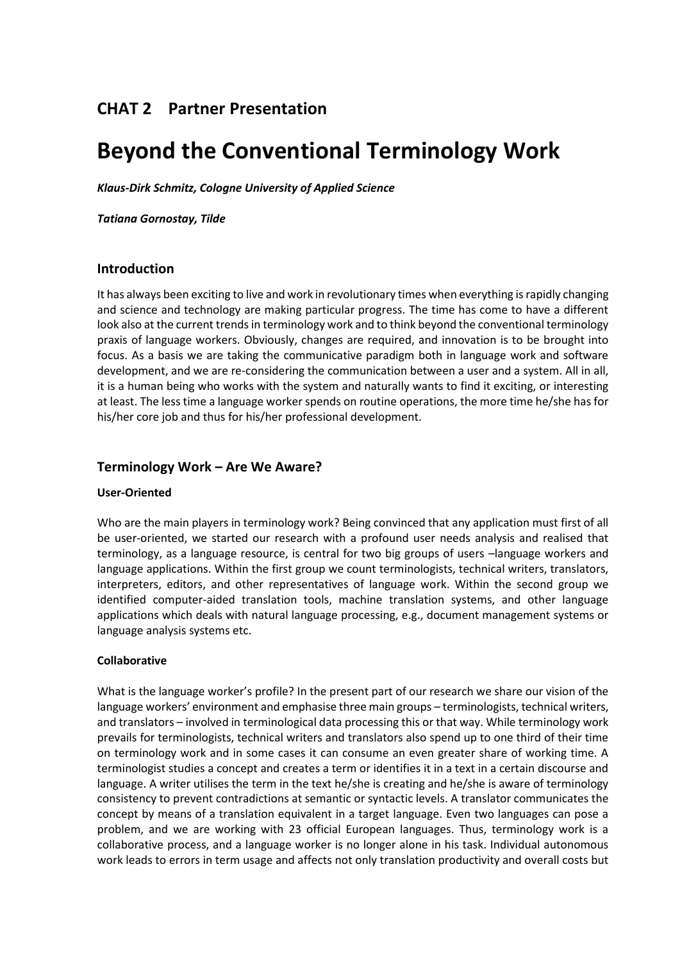# **CHAT%2 Partner%Presentation**

# **Beyond the Conventional Terminology Work**

*Klaus&Dirk+Schmitz,+Cologne+University+of+Applied+Science*

*Tatiana+Gornostay,+Tilde*

# **Introduction**

It has always been exciting to live and work in revolutionary times when everything is rapidly changing and science and technology are making particular progress. The time has come to have a different look also at the current trends in terminology work and to think beyond the conventional terminology praxis of language workers. Obviously, changes are required, and innovation is to be brought into focus. As a basis we are taking the communicative paradigm both in language work and software development, and we are re-considering the communication between a user and a system. All in all, it is a human being who works with the system and naturally wants to find it exciting, or interesting at least. The less time a language worker spends on routine operations, the more time he/she has for his/her core job and thus for his/her professional development.

# **Terminology%Work ʹ Are%We%Aware?**

#### **User-Oriented**

Who are the main players in terminology work? Being convinced that any application must first of all be user-oriented, we started our research with a profound user needs analysis and realised that terminology, as a language resource, is central for two big groups of users -language workers and language applications. Within the first group we count terminologists, technical writers, translators, interpreters, editors, and other representatives of language work. Within the second group we identified computer-aided translation tools, machine translation systems, and other language applications which deals with natural language processing, e.g., document management systems or language analysis systems etc.

# **Collaborative**

What is the language worker's profile? In the present part of our research we share our vision of the language workers' environment and emphasise three main groups - terminologists, technical writers, and translators – involved in terminological data processing this or that way. While terminology work prevails for terminologists, technical writers and translators also spend up to one third of their time on terminology work and in some cases it can consume an even greater share of working time. A terminologist studies a concept and creates a term or identifies it in a text in a certain discourse and language. A writer utilises the term in the text he/she is creating and he/she is aware of terminology consistency to prevent contradictions at semantic or syntactic levels. A translator communicates the concept by means of a translation equivalent in a target language. Even two languages can pose a problem, and we are working with 23 official European languages. Thus, terminology work is a collaborative process, and a language worker is no longer alone in his task. Individual autonomous work leads to errors in term usage and affects not only translation productivity and overall costs but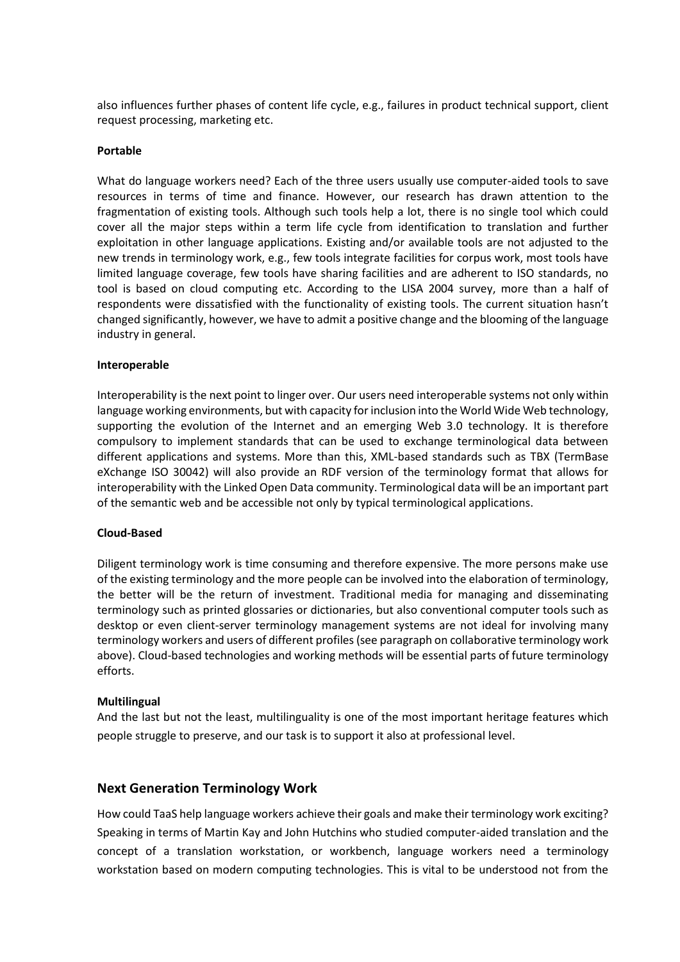also influences further phases of content life cycle, e.g., failures in product technical support, client request processing, marketing etc.

### **Portable**

What do language workers need? Each of the three users usually use computer-aided tools to save resources in terms of time and finance. However, our research has drawn attention to the fragmentation of existing tools. Although such tools help a lot, there is no single tool which could cover all the major steps within a term life cycle from identification to translation and further exploitation in other language applications. Existing and/or available tools are not adjusted to the new trends in terminology work, e.g., few tools integrate facilities for corpus work, most tools have limited language coverage, few tools have sharing facilities and are adherent to ISO standards, no tool is based on cloud computing etc. According to the LISA 2004 survey, more than a half of respondents were dissatisfied with the functionality of existing tools. The current situation hasn't changed significantly, however, we have to admit a positive change and the blooming of the language industry in general.

#### **Interoperable**

Interoperability is the next point to linger over. Our users need interoperable systems not only within language working environments, but with capacity for inclusion into the World Wide Web technology, supporting the evolution of the Internet and an emerging Web 3.0 technology. It is therefore compulsory to implement standards that can be used to exchange terminological data between different applications and systems. More than this, XML-based standards such as TBX (TermBase eXchange ISO 30042) will also provide an RDF version of the terminology format that allows for interoperability with the Linked Open Data community. Terminological data will be an important part of the semantic web and be accessible not only by typical terminological applications.

#### **Cloud@Based**

Diligent terminology work is time consuming and therefore expensive. The more persons make use of the existing terminology and the more people can be involved into the elaboration of terminology, the better will be the return of investment. Traditional media for managing and disseminating terminology such as printed glossaries or dictionaries, but also conventional computer tools such as desktop or even client-server terminology management systems are not ideal for involving many terminology workers and users of different profiles (see paragraph on collaborative terminology work above). Cloud-based technologies and working methods will be essential parts of future terminology efforts.

# **Multilingual**

And the last but not the least, multilinguality is one of the most important heritage features which people struggle to preserve, and our task is to support it also at professional level.

# **Next Generation Terminology Work**

How could TaaS help language workers achieve their goals and make their terminology work exciting? Speaking in terms of Martin Kay and John Hutchins who studied computer-aided translation and the concept of a translation workstation, or workbench, language workers need a terminology workstation based on modern computing technologies. This is vital to be understood not from the